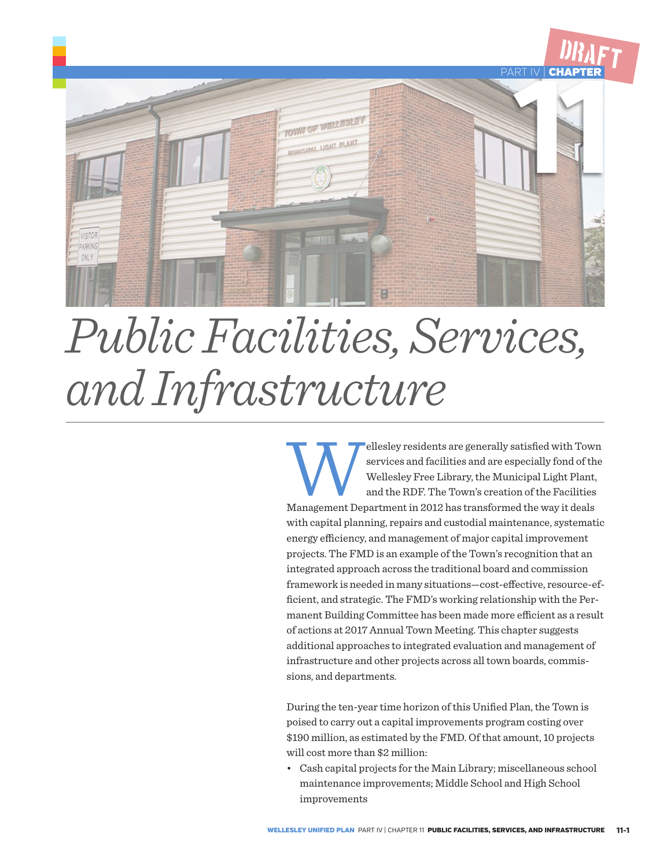

# *Public Facilities, Services, and Infrastructure*

ellesley residents are generally satisfied with Town services and facilities and are especially fond of the Wellesley Free Library, the Municipal Light Plant, and the RDF. The Town's creation of the Facilities Management D services and facilities and are especially fond of the Wellesley Free Library, the Municipal Light Plant, and the RDF. The Town's creation of the Facilities with capital planning, repairs and custodial maintenance, systematic energy efficiency, and management of major capital improvement projects. The FMD is an example of the Town's recognition that an integrated approach across the traditional board and commission framework is needed in many situations—cost-effective, resource-efficient, and strategic. The FMD's working relationship with the Permanent Building Committee has been made more efficient as a result of actions at 2017 Annual Town Meeting. This chapter suggests additional approaches to integrated evaluation and management of infrastructure and other projects across all town boards, commissions, and departments.

During the ten-year time horizon of this Unified Plan, the Town is poised to carry out a capital improvements program costing over \$190 million, as estimated by the FMD. Of that amount, 10 projects will cost more than \$2 million:

• Cash capital projects for the Main Library; miscellaneous school maintenance improvements; Middle School and High School improvements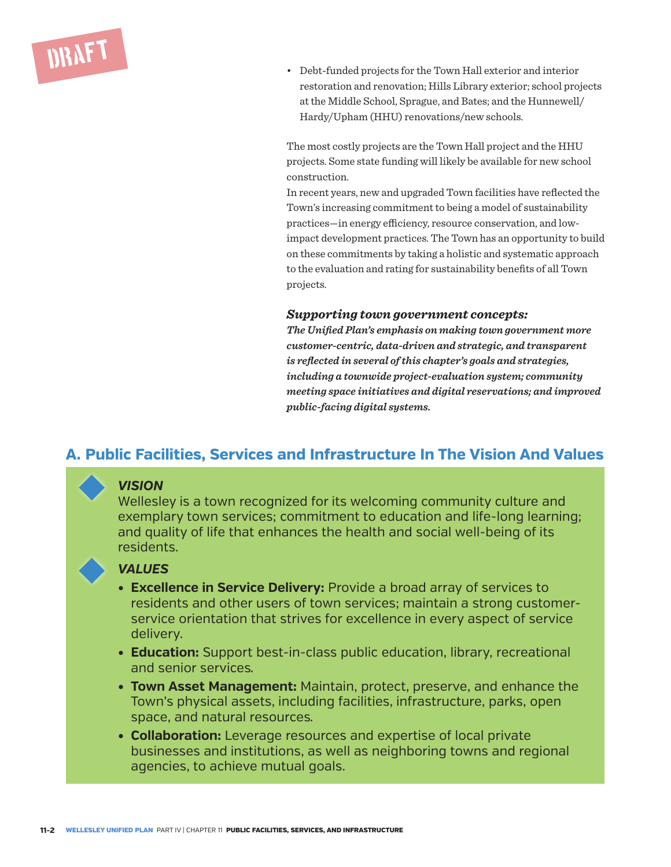

• Debt-funded projects for the Town Hall exterior and interior restoration and renovation; Hills Library exterior; school projects at the Middle School, Sprague, and Bates; and the Hunnewell/ Hardy/Upham (HHU) renovations/new schools.

The most costly projects are the Town Hall project and the HHU projects. Some state funding will likely be available for new school construction.

In recent years, new and upgraded Town facilities have reflected the Town's increasing commitment to being a model of sustainability practices—in energy efficiency, resource conservation, and lowimpact development practices. The Town has an opportunity to build on these commitments by taking a holistic and systematic approach to the evaluation and rating for sustainability benefits of all Town projects.

#### *Supporting town government concepts:*

*The Unified Plan's emphasis on making town government more customer-centric, data-driven and strategic, and transparent is reflected in several of this chapter's goals and strategies, including a townwide project-evaluation system; community meeting space initiatives and digital reservations; and improved public-facing digital systems.*

#### **A. Public Facilities, Services and Infrastructure In The Vision And Values**

#### *VISION*

Wellesley is a town recognized for its welcoming community culture and exemplary town services; commitment to education and life-long learning; and quality of life that enhances the health and social well-being of its residents.

#### *VALUES*

- **• Excellence in Service Delivery:** Provide a broad array of services to residents and other users of town services; maintain a strong customerservice orientation that strives for excellence in every aspect of service delivery.
- **• Education:** Support best-in-class public education, library, recreational and senior services*.*
- **• Town Asset Management:** Maintain, protect, preserve, and enhance the Town's physical assets, including facilities, infrastructure, parks, open space, and natural resources*.*
- **• Collaboration:** Leverage resources and expertise of local private businesses and institutions, as well as neighboring towns and regional agencies, to achieve mutual goals.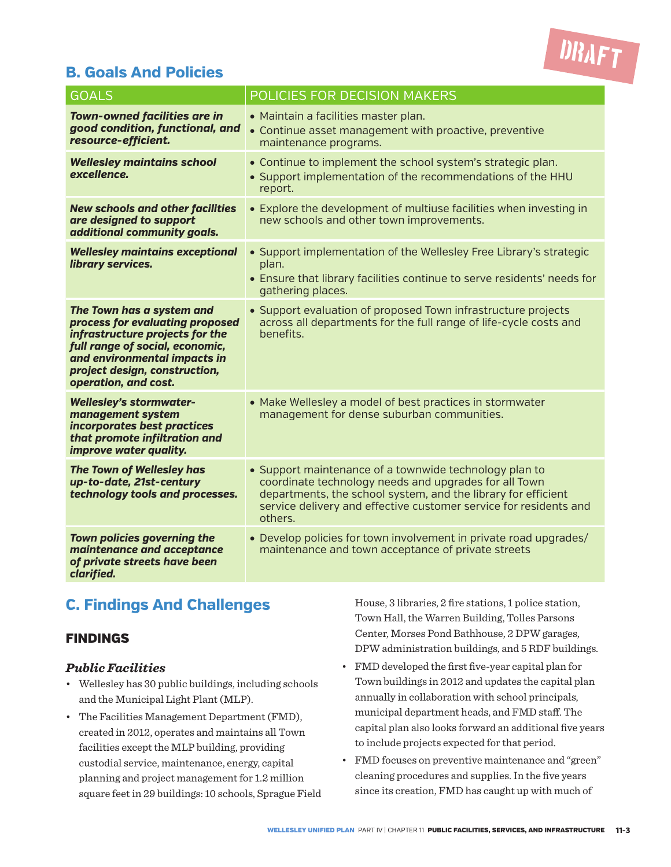

#### **B. Goals And Policies**

| <b>GOALS</b>                                                                                                                                                                                                                | POLICIES FOR DECISION MAKERS                                                                                                                                                                                                                                     |
|-----------------------------------------------------------------------------------------------------------------------------------------------------------------------------------------------------------------------------|------------------------------------------------------------------------------------------------------------------------------------------------------------------------------------------------------------------------------------------------------------------|
| <b>Town-owned facilities are in</b><br>good condition, functional, and<br>resource-efficient.                                                                                                                               | • Maintain a facilities master plan.<br>• Continue asset management with proactive, preventive<br>maintenance programs.                                                                                                                                          |
| <b>Wellesley maintains school</b><br>excellence.                                                                                                                                                                            | • Continue to implement the school system's strategic plan.<br>• Support implementation of the recommendations of the HHU<br>report.                                                                                                                             |
| <b>New schools and other facilities</b><br>are designed to support<br>additional community goals.                                                                                                                           | • Explore the development of multiuse facilities when investing in<br>new schools and other town improvements.                                                                                                                                                   |
| <b>Wellesley maintains exceptional</b><br>library services.                                                                                                                                                                 | • Support implementation of the Wellesley Free Library's strategic<br>plan.<br>• Ensure that library facilities continue to serve residents' needs for<br>gathering places.                                                                                      |
| The Town has a system and<br>process for evaluating proposed<br>infrastructure projects for the<br>full range of social, economic,<br>and environmental impacts in<br>project design, construction,<br>operation, and cost. | • Support evaluation of proposed Town infrastructure projects<br>across all departments for the full range of life-cycle costs and<br>benefits.                                                                                                                  |
| <b>Wellesley's stormwater-</b><br>management system<br>incorporates best practices<br>that promote infiltration and<br>improve water quality.                                                                               | • Make Wellesley a model of best practices in stormwater<br>management for dense suburban communities.                                                                                                                                                           |
| The Town of Wellesley has<br>up-to-date, 21st-century<br>technology tools and processes.                                                                                                                                    | • Support maintenance of a townwide technology plan to<br>coordinate technology needs and upgrades for all Town<br>departments, the school system, and the library for efficient<br>service delivery and effective customer service for residents and<br>others. |
| Town policies governing the<br>maintenance and acceptance<br>of private streets have been<br>clarified.                                                                                                                     | • Develop policies for town involvement in private road upgrades/<br>maintenance and town acceptance of private streets                                                                                                                                          |

#### **C. Findings And Challenges**

#### FINDINGS

#### *Public Facilities*

- Wellesley has 30 public buildings, including schools and the Municipal Light Plant (MLP).
- The Facilities Management Department (FMD), created in 2012, operates and maintains all Town facilities except the MLP building, providing custodial service, maintenance, energy, capital planning and project management for 1.2 million square feet in 29 buildings: 10 schools, Sprague Field

House, 3 libraries, 2 fire stations, 1 police station, Town Hall, the Warren Building, Tolles Parsons Center, Morses Pond Bathhouse, 2 DPW garages, DPW administration buildings, and 5 RDF buildings.

- FMD developed the first five-year capital plan for Town buildings in 2012 and updates the capital plan annually in collaboration with school principals, municipal department heads, and FMD staff. The capital plan also looks forward an additional five years to include projects expected for that period.
- FMD focuses on preventive maintenance and "green" cleaning procedures and supplies. In the five years since its creation, FMD has caught up with much of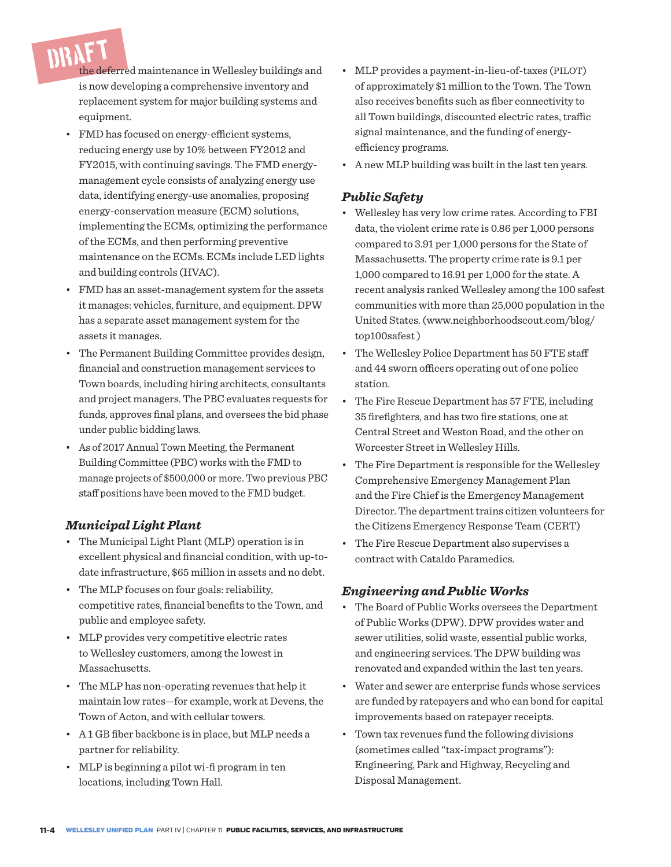DRAFT the deferred maintenance in Wellesley buildings and is now developing a comprehensive inventory and replacement system for major building systems and equipment.

- FMD has focused on energy-efficient systems, reducing energy use by 10% between FY2012 and FY2015, with continuing savings. The FMD energymanagement cycle consists of analyzing energy use data, identifying energy-use anomalies, proposing energy-conservation measure (ECM) solutions, implementing the ECMs, optimizing the performance of the ECMs, and then performing preventive maintenance on the ECMs. ECMs include LED lights and building controls (HVAC).
- FMD has an asset-management system for the assets it manages: vehicles, furniture, and equipment. DPW has a separate asset management system for the assets it manages.
- The Permanent Building Committee provides design, financial and construction management services to Town boards, including hiring architects, consultants and project managers. The PBC evaluates requests for funds, approves final plans, and oversees the bid phase under public bidding laws.
- As of 2017 Annual Town Meeting, the Permanent Building Committee (PBC) works with the FMD to manage projects of \$500,000 or more. Two previous PBC staff positions have been moved to the FMD budget.

#### *Municipal Light Plant*

- The Municipal Light Plant (MLP) operation is in excellent physical and financial condition, with up-todate infrastructure, \$65 million in assets and no debt.
- The MLP focuses on four goals: reliability, competitive rates, financial benefits to the Town, and public and employee safety.
- MLP provides very competitive electric rates to Wellesley customers, among the lowest in Massachusetts.
- The MLP has non-operating revenues that help it maintain low rates—for example, work at Devens, the Town of Acton, and with cellular towers.
- A 1 GB fiber backbone is in place, but MLP needs a partner for reliability.
- MLP is beginning a pilot wi-fi program in ten locations, including Town Hall.
- MLP provides a payment-in-lieu-of-taxes (PILOT) of approximately \$1 million to the Town. The Town also receives benefits such as fiber connectivity to all Town buildings, discounted electric rates, traffic signal maintenance, and the funding of energyefficiency programs.
- A new MLP building was built in the last ten years.

#### *Public Safety*

- Wellesley has very low crime rates. According to FBI data, the violent crime rate is 0.86 per 1,000 persons compared to 3.91 per 1,000 persons for the State of Massachusetts. The property crime rate is 9.1 per 1,000 compared to 16.91 per 1,000 for the state. A recent analysis ranked Wellesley among the 100 safest communities with more than 25,000 population in the United States. (www.neighborhoodscout.com/blog/ top100safest )
- The Wellesley Police Department has 50 FTE staff and 44 sworn officers operating out of one police station.
- The Fire Rescue Department has 57 FTE, including 35 firefighters, and has two fire stations, one at Central Street and Weston Road, and the other on Worcester Street in Wellesley Hills.
- The Fire Department is responsible for the Wellesley Comprehensive Emergency Management Plan and the Fire Chief is the Emergency Management Director. The department trains citizen volunteers for the Citizens Emergency Response Team (CERT)
- The Fire Rescue Department also supervises a contract with Cataldo Paramedics.

#### *Engineering and Public Works*

- The Board of Public Works oversees the Department of Public Works (DPW). DPW provides water and sewer utilities, solid waste, essential public works, and engineering services. The DPW building was renovated and expanded within the last ten years.
- Water and sewer are enterprise funds whose services are funded by ratepayers and who can bond for capital improvements based on ratepayer receipts.
- Town tax revenues fund the following divisions (sometimes called "tax-impact programs"): Engineering, Park and Highway, Recycling and Disposal Management.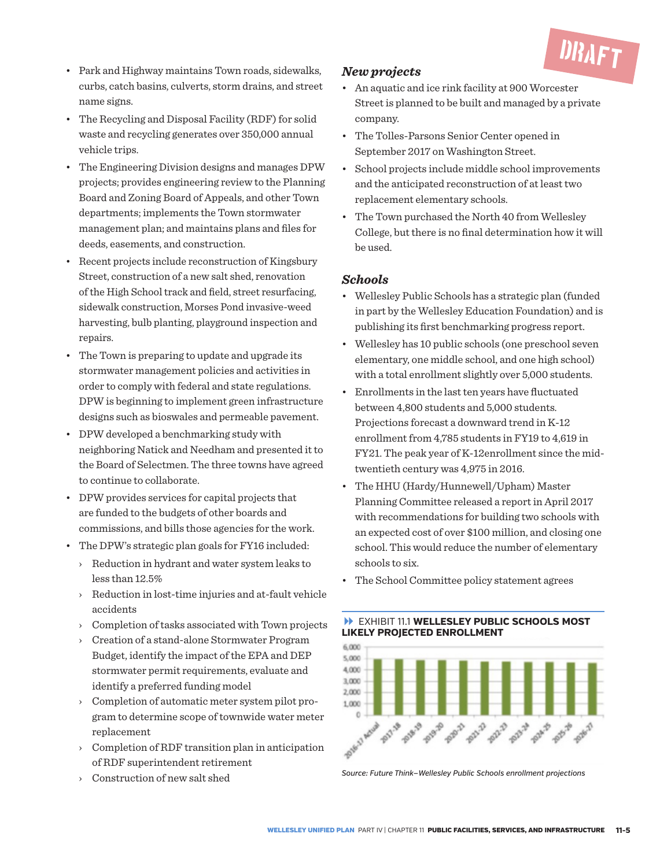

- Park and Highway maintains Town roads, sidewalks, curbs, catch basins, culverts, storm drains, and street name signs.
- The Recycling and Disposal Facility (RDF) for solid waste and recycling generates over 350,000 annual vehicle trips.
- The Engineering Division designs and manages DPW projects; provides engineering review to the Planning Board and Zoning Board of Appeals, and other Town departments; implements the Town stormwater management plan; and maintains plans and files for deeds, easements, and construction.
- Recent projects include reconstruction of Kingsbury Street, construction of a new salt shed, renovation of the High School track and field, street resurfacing, sidewalk construction, Morses Pond invasive-weed harvesting, bulb planting, playground inspection and repairs.
- The Town is preparing to update and upgrade its stormwater management policies and activities in order to comply with federal and state regulations. DPW is beginning to implement green infrastructure designs such as bioswales and permeable pavement.
- DPW developed a benchmarking study with neighboring Natick and Needham and presented it to the Board of Selectmen. The three towns have agreed to continue to collaborate.
- DPW provides services for capital projects that are funded to the budgets of other boards and commissions, and bills those agencies for the work.
- The DPW's strategic plan goals for FY16 included:
	- › Reduction in hydrant and water system leaks to less than 12.5%
	- › Reduction in lost-time injuries and at-fault vehicle accidents
	- › Completion of tasks associated with Town projects
	- › Creation of a stand-alone Stormwater Program Budget, identify the impact of the EPA and DEP stormwater permit requirements, evaluate and identify a preferred funding model
	- › Completion of automatic meter system pilot program to determine scope of townwide water meter replacement
	- › Completion of RDF transition plan in anticipation of RDF superintendent retirement
	- › Construction of new salt shed

#### *New projects*

- An aquatic and ice rink facility at 900 Worcester Street is planned to be built and managed by a private company.
- The Tolles-Parsons Senior Center opened in September 2017 on Washington Street.
- School projects include middle school improvements and the anticipated reconstruction of at least two replacement elementary schools.
- The Town purchased the North 40 from Wellesley College, but there is no final determination how it will be used.

#### *Schools*

- Wellesley Public Schools has a strategic plan (funded in part by the Wellesley Education Foundation) and is publishing its first benchmarking progress report.
- Wellesley has 10 public schools (one preschool seven elementary, one middle school, and one high school) with a total enrollment slightly over 5,000 students.
- Enrollments in the last ten years have fluctuated between 4,800 students and 5,000 students. Projections forecast a downward trend in K-12 enrollment from 4,785 students in FY19 to 4,619 in FY21. The peak year of K-12enrollment since the midtwentieth century was 4,975 in 2016.
- The HHU (Hardy/Hunnewell/Upham) Master Planning Committee released a report in April 2017 with recommendations for building two schools with an expected cost of over \$100 million, and closing one school. This would reduce the number of elementary schools to six.
- The School Committee policy statement agrees

#### EXHIBIT 11.1 **WELLESLEY PUBLIC SCHOOLS MOST LIKELY PROJECTED ENROLLMENT**



*Source: Future Think—Wellesley Public Schools enrollment projections*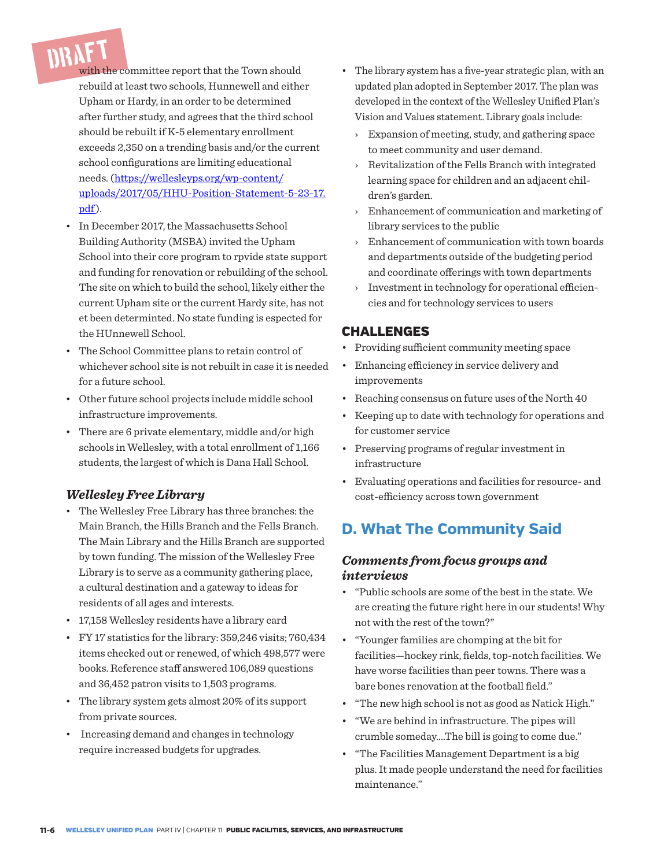DRAFT with the committee report that the Town should rebuild at least two schools, Hunnewell and either Upham or Hardy, in an order to be determined after further study, and agrees that the third school should be rebuilt if K-5 elementary enrollment exceeds 2,350 on a trending basis and/or the current school configurations are limiting educational needs. (https://wellesleyps.org/wp-content/ uploads/2017/05/HHU-Position-Statement-5-23-17. pdf).

- In December 2017, the Massachusetts School Building Authority (MSBA) invited the Upham School into their core program to rpvide state support and funding for renovation or rebuilding of the school. The site on which to build the school, likely either the current Upham site or the current Hardy site, has not et been determinted. No state funding is espected for the HUnnewell School.
- The School Committee plans to retain control of whichever school site is not rebuilt in case it is needed for a future school.
- Other future school projects include middle school infrastructure improvements.
- There are 6 private elementary, middle and/or high schools in Wellesley, with a total enrollment of 1,166 students, the largest of which is Dana Hall School.

#### *Wellesley Free Library*

- The Wellesley Free Library has three branches: the Main Branch, the Hills Branch and the Fells Branch. The Main Library and the Hills Branch are supported by town funding. The mission of the Wellesley Free Library is to serve as a community gathering place, a cultural destination and a gateway to ideas for residents of all ages and interests.
- 17,158 Wellesley residents have a library card
- FY 17 statistics for the library: 359,246 visits; 760,434 items checked out or renewed, of which 498,577 were books. Reference staff answered 106,089 questions and 36,452 patron visits to 1,503 programs.
- The library system gets almost 20% of its support from private sources.
- Increasing demand and changes in technology require increased budgets for upgrades.
- The library system has a five-year strategic plan, with an updated plan adopted in September 2017. The plan was developed in the context of the Wellesley Unified Plan's Vision and Values statement. Library goals include:
	- › Expansion of meeting, study, and gathering space to meet community and user demand.
	- › Revitalization of the Fells Branch with integrated learning space for children and an adjacent children's garden.
	- › Enhancement of communication and marketing of library services to the public
	- Enhancement of communication with town boards and departments outside of the budgeting period and coordinate offerings with town departments
	- › Investment in technology for operational efficiencies and for technology services to users

#### CHALLENGES

- Providing sufficient community meeting space
- Enhancing efficiency in service delivery and improvements
- Reaching consensus on future uses of the North 40
- Keeping up to date with technology for operations and for customer service
- Preserving programs of regular investment in infrastructure
- Evaluating operations and facilities for resource- and cost-efficiency across town government

#### **D. What The Community Said**

#### *Comments from focus groups and interviews*

- "Public schools are some of the best in the state. We are creating the future right here in our students! Why not with the rest of the town?"
- "Younger families are chomping at the bit for facilities—hockey rink, fields, top-notch facilities. We have worse facilities than peer towns. There was a bare bones renovation at the football field."
- "The new high school is not as good as Natick High."
- "We are behind in infrastructure. The pipes will crumble someday….The bill is going to come due."
- "The Facilities Management Department is a big plus. It made people understand the need for facilities maintenance."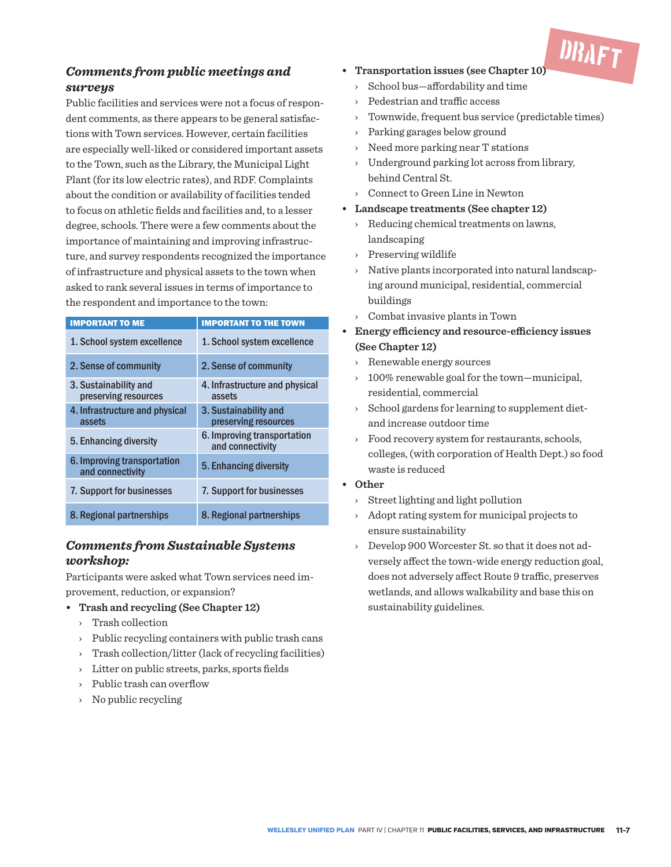

#### *Comments from public meetings and surveys*

Public facilities and services were not a focus of respondent comments, as there appears to be general satisfactions with Town services. However, certain facilities are especially well-liked or considered important assets to the Town, such as the Library, the Municipal Light Plant (for its low electric rates), and RDF. Complaints about the condition or availability of facilities tended to focus on athletic fields and facilities and, to a lesser degree, schools. There were a few comments about the importance of maintaining and improving infrastructure, and survey respondents recognized the importance of infrastructure and physical assets to the town when asked to rank several issues in terms of importance to the respondent and importance to the town:

| <b>IMPORTANT TO ME</b>                          | <b>IMPORTANT TO THE TOWN</b>                    |
|-------------------------------------------------|-------------------------------------------------|
| 1. School system excellence                     | 1. School system excellence                     |
| 2. Sense of community                           | 2. Sense of community                           |
| 3. Sustainability and<br>preserving resources   | 4. Infrastructure and physical<br>assets        |
| 4. Infrastructure and physical<br>assets        | 3. Sustainability and<br>preserving resources   |
| 5. Enhancing diversity                          | 6. Improving transportation<br>and connectivity |
| 6. Improving transportation<br>and connectivity | 5. Enhancing diversity                          |
| 7. Support for businesses                       | 7. Support for businesses                       |
| 8. Regional partnerships                        | 8. Regional partnerships                        |

#### *Comments from Sustainable Systems workshop:*

Participants were asked what Town services need improvement, reduction, or expansion?

- **• Trash and recycling (See Chapter 12)**
	- › Trash collection
	- › Public recycling containers with public trash cans
	- › Trash collection/litter (lack of recycling facilities)
	- › Litter on public streets, parks, sports fields
	- › Public trash can overflow
	- › No public recycling
- **• Transportation issues (see Chapter 10)**
	- › School bus—affordability and time
	- Pedestrian and traffic access
	- Townwide, frequent bus service (predictable times)
	- › Parking garages below ground
	- › Need more parking near T stations
	- Underground parking lot across from library, behind Central St.
	- › Connect to Green Line in Newton
- **• Landscape treatments (See chapter 12)**
	- › Reducing chemical treatments on lawns, landscaping
	- › Preserving wildlife
	- › Native plants incorporated into natural landscaping around municipal, residential, commercial buildings
	- › Combat invasive plants in Town
- **• Energy efficiency and resource-efficiency issues (See Chapter 12)**
	- › Renewable energy sources
	- › 100% renewable goal for the town—municipal, residential, commercial
	- › School gardens for learning to supplement dietand increase outdoor time
	- Food recovery system for restaurants, schools, colleges, (with corporation of Health Dept.) so food waste is reduced

#### **• Other**

- › Street lighting and light pollution
- › Adopt rating system for municipal projects to ensure sustainability
- › Develop 900 Worcester St. so that it does not adversely affect the town-wide energy reduction goal, does not adversely affect Route 9 traffic, preserves wetlands, and allows walkability and base this on sustainability guidelines.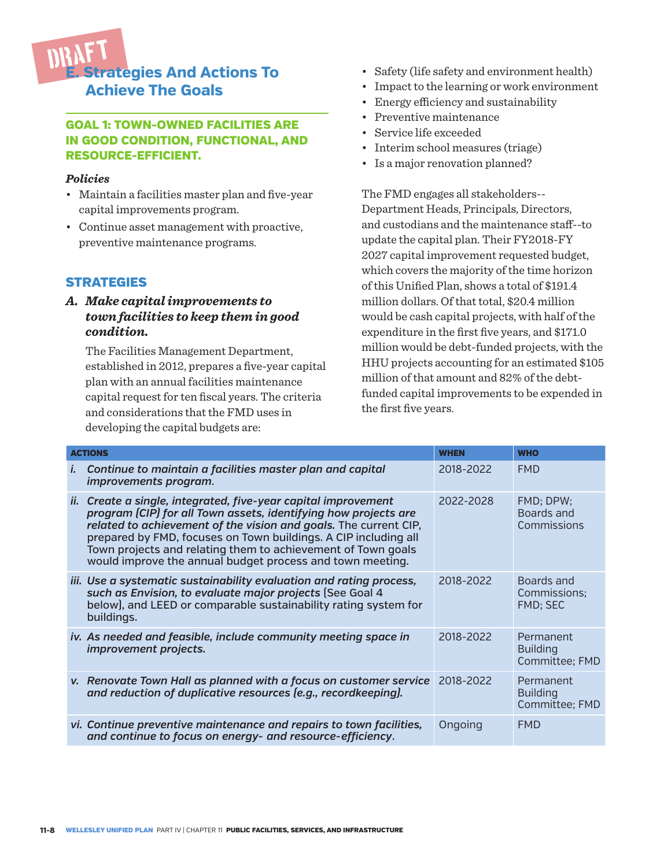

#### GOAL 1: TOWN-OWNED FACILITIES ARE IN GOOD CONDITION, FUNCTIONAL, AND RESOURCE-EFFICIENT.

#### *Policies*

- Maintain a facilities master plan and five-year capital improvements program.
- Continue asset management with proactive, preventive maintenance programs.

#### **STRATEGIES**

#### *A. Make capital improvements to town facilities to keep them in good condition.*

The Facilities Management Department, established in 2012, prepares a five-year capital plan with an annual facilities maintenance capital request for ten fiscal years. The criteria and considerations that the FMD uses in developing the capital budgets are:

- Safety (life safety and environment health)
- Impact to the learning or work environment
- Energy efficiency and sustainability
- Preventive maintenance
- Service life exceeded
- Interim school measures (triage)
- Is a major renovation planned?

The FMD engages all stakeholders-- Department Heads, Principals, Directors, and custodians and the maintenance staff--to update the capital plan. Their FY2018-FY 2027 capital improvement requested budget, which covers the majority of the time horizon of this Unified Plan, shows a total of \$191.4 million dollars. Of that total, \$20.4 million would be cash capital projects, with half of the expenditure in the first five years, and \$171.0 million would be debt-funded projects, with the HHU projects accounting for an estimated \$105 million of that amount and 82% of the debtfunded capital improvements to be expended in the first five years.

| <b>ACTIONS</b>                                                                                                                                                                                                                                                                                                                                                                                           | <b>WHEN</b> | <b>WHO</b>                                     |
|----------------------------------------------------------------------------------------------------------------------------------------------------------------------------------------------------------------------------------------------------------------------------------------------------------------------------------------------------------------------------------------------------------|-------------|------------------------------------------------|
| Continue to maintain a facilities master plan and capital<br><b>L</b><br>improvements program.                                                                                                                                                                                                                                                                                                           | 2018-2022   | <b>FMD</b>                                     |
| Create a single, integrated, five-year capital improvement<br>ii.<br>program (CIP) for all Town assets, identifying how projects are<br>related to achievement of the vision and goals. The current CIP,<br>prepared by FMD, focuses on Town buildings. A CIP including all<br>Town projects and relating them to achievement of Town goals<br>would improve the annual budget process and town meeting. | 2022-2028   | FMD; DPW;<br>Boards and<br>Commissions         |
| iii. Use a systematic sustainability evaluation and rating process,<br>such as Envision, to evaluate major projects (See Goal 4<br>below), and LEED or comparable sustainability rating system for<br>buildings.                                                                                                                                                                                         | 2018-2022   | Boards and<br>Commissions;<br>FMD; SEC         |
| iv. As needed and feasible, include community meeting space in<br>improvement projects.                                                                                                                                                                                                                                                                                                                  | 2018-2022   | Permanent<br><b>Building</b><br>Committee; FMD |
| v. Renovate Town Hall as planned with a focus on customer service<br>and reduction of duplicative resources (e.g., recordkeeping).                                                                                                                                                                                                                                                                       | 2018-2022   | Permanent<br><b>Building</b><br>Committee: FMD |
| vi. Continue preventive maintenance and repairs to town facilities,<br>and continue to focus on energy- and resource-efficiency.                                                                                                                                                                                                                                                                         | Ongoing     | <b>FMD</b>                                     |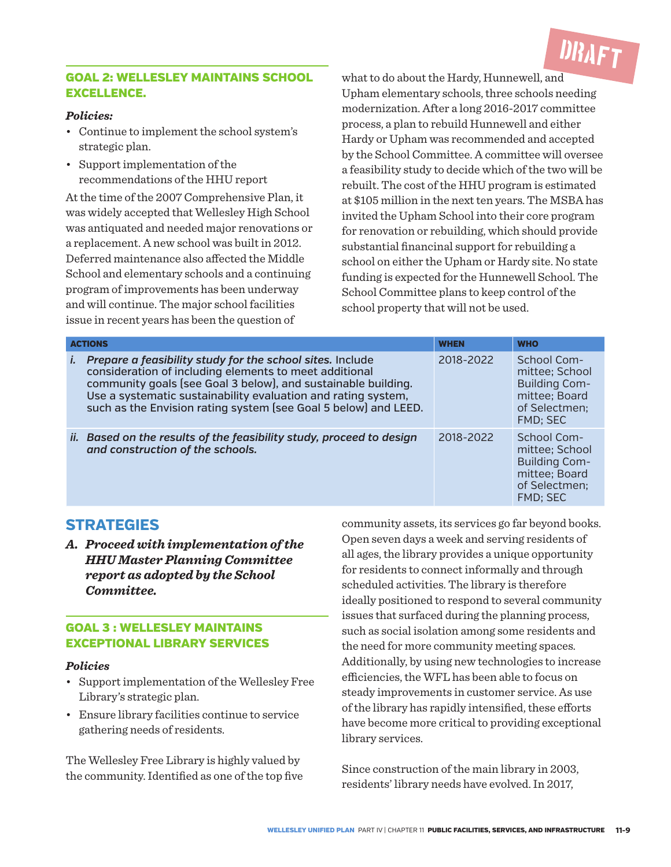

#### GOAL 2: WELLESLEY MAINTAINS SCHOOL EXCELLENCE.

#### *Policies:*

- Continue to implement the school system's strategic plan.
- Support implementation of the recommendations of the HHU report

At the time of the 2007 Comprehensive Plan, it was widely accepted that Wellesley High School was antiquated and needed major renovations or a replacement. A new school was built in 2012. Deferred maintenance also affected the Middle School and elementary schools and a continuing program of improvements has been underway and will continue. The major school facilities issue in recent years has been the question of

what to do about the Hardy, Hunnewell, and Upham elementary schools, three schools needing modernization. After a long 2016-2017 committee process, a plan to rebuild Hunnewell and either Hardy or Upham was recommended and accepted by the School Committee. A committee will oversee a feasibility study to decide which of the two will be rebuilt. The cost of the HHU program is estimated at \$105 million in the next ten years. The MSBA has invited the Upham School into their core program for renovation or rebuilding, which should provide substantial financinal support for rebuilding a school on either the Upham or Hardy site. No state funding is expected for the Hunnewell School. The School Committee plans to keep control of the school property that will not be used.

| <b>ACTIONS</b> | <b>WHEN</b>                                                                                                                                                                                                                                                                                                              |           | <b>WHO</b>                                                                                          |
|----------------|--------------------------------------------------------------------------------------------------------------------------------------------------------------------------------------------------------------------------------------------------------------------------------------------------------------------------|-----------|-----------------------------------------------------------------------------------------------------|
| İ.             | Prepare a feasibility study for the school sites. Include<br>consideration of including elements to meet additional<br>community goals (see Goal 3 below), and sustainable building.<br>Use a systematic sustainability evaluation and rating system,<br>such as the Envision rating system [see Goal 5 below] and LEED. | 2018-2022 | School Com-<br>mittee; School<br><b>Building Com-</b><br>mittee; Board<br>of Selectmen;<br>FMD; SEC |
|                | ii. Based on the results of the feasibility study, proceed to design<br>and construction of the schools.                                                                                                                                                                                                                 | 2018-2022 | School Com-<br>mittee: School<br><b>Building Com-</b><br>mittee; Board<br>of Selectmen:<br>FMD; SEC |

#### **STRATEGIES**

*A. Proceed with implementation of the HHU Master Planning Committee report as adopted by the School Committee.*

#### GOAL 3 : WELLESLEY MAINTAINS EXCEPTIONAL LIBRARY SERVICES

#### *Policies*

- Support implementation of the Wellesley Free Library's strategic plan.
- Ensure library facilities continue to service gathering needs of residents.

The Wellesley Free Library is highly valued by the community. Identified as one of the top five

community assets, its services go far beyond books. Open seven days a week and serving residents of all ages, the library provides a unique opportunity for residents to connect informally and through scheduled activities. The library is therefore ideally positioned to respond to several community issues that surfaced during the planning process, such as social isolation among some residents and the need for more community meeting spaces. Additionally, by using new technologies to increase efficiencies, the WFL has been able to focus on steady improvements in customer service. As use of the library has rapidly intensified, these efforts have become more critical to providing exceptional library services.

Since construction of the main library in 2003, residents' library needs have evolved. In 2017,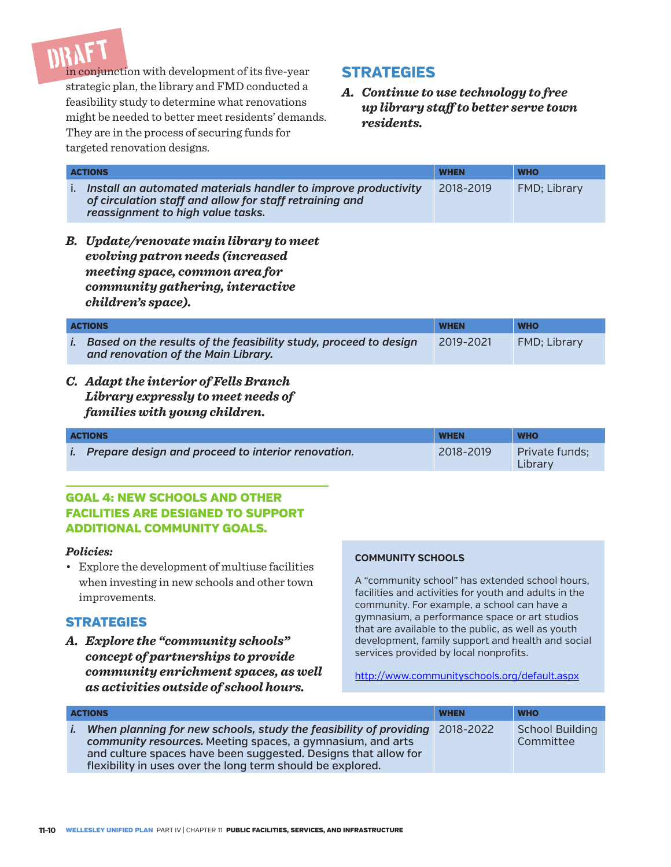DRAFT in conjunction with development of its five-year strategic plan, the library and FMD conducted a feasibility study to determine what renovations might be needed to better meet residents' demands. They are in the process of securing funds for targeted renovation designs.

#### **STRATEGIES**

*A. Continue to use technology to free up library staff to better serve town residents.* 

| <b>ACTIONS</b>                                                                                                                                                                 | <b>WHEN</b> | <b>WHO</b>   |
|--------------------------------------------------------------------------------------------------------------------------------------------------------------------------------|-------------|--------------|
| Install an automated materials handler to improve productivity<br>Ъ.<br>of circulation staff and allow for staff retraining and<br>reassignment to high value tasks.           | 2018-2019   | FMD; Library |
| <b>B.</b> Update/renovate main library to meet<br>evolving patron needs (increased<br>meeting space, common area for<br>community gathering, interactive<br>children's space). |             |              |
| <b>ACTIONS</b>                                                                                                                                                                 | <b>WHEN</b> | <b>WHO</b>   |
| Based on the results of the feasibility study, proceed to design<br>Ι.<br>and renovation of the Main Library.                                                                  | 2019-2021   | FMD; Library |
|                                                                                                                                                                                |             |              |

*C. Adapt the interior of Fells Branch Library expressly to meet needs of families with young children.*

| <b>ACTIONS</b> |                                                              | <b>WHEN</b> | <b>WHO</b>                |
|----------------|--------------------------------------------------------------|-------------|---------------------------|
|                | <i>i.</i> Prepare design and proceed to interior renovation. | 2018-2019   | Private funds:<br>Library |

#### GOAL 4: NEW SCHOOLS AND OTHER FACILITIES ARE DESIGNED TO SUPPORT ADDITIONAL COMMUNITY GOALS.

#### *Policies:*

• Explore the development of multiuse facilities when investing in new schools and other town improvements.

#### **STRATEGIES**

*A. Explore the "community schools" concept of partnerships to provide community enrichment spaces, as well as activities outside of school hours.*

#### **COMMUNITY SCHOOLS**

A "community school" has extended school hours, facilities and activities for youth and adults in the community. For example, a school can have a gymnasium, a performance space or art studios that are available to the public, as well as youth development, family support and health and social services provided by local nonprofits.

http://www.communityschools.org/default.aspx

|    | <b>ACTIONS</b>                                                                                                                                                                                                                                                            | <b>WHEN</b> | <b>WHO</b>                          |
|----|---------------------------------------------------------------------------------------------------------------------------------------------------------------------------------------------------------------------------------------------------------------------------|-------------|-------------------------------------|
| İ. | When planning for new schools, study the feasibility of providing 2018-2022<br>community resources. Meeting spaces, a gymnasium, and arts<br>and culture spaces have been suggested. Designs that allow for<br>flexibility in uses over the long term should be explored. |             | <b>School Building</b><br>Committee |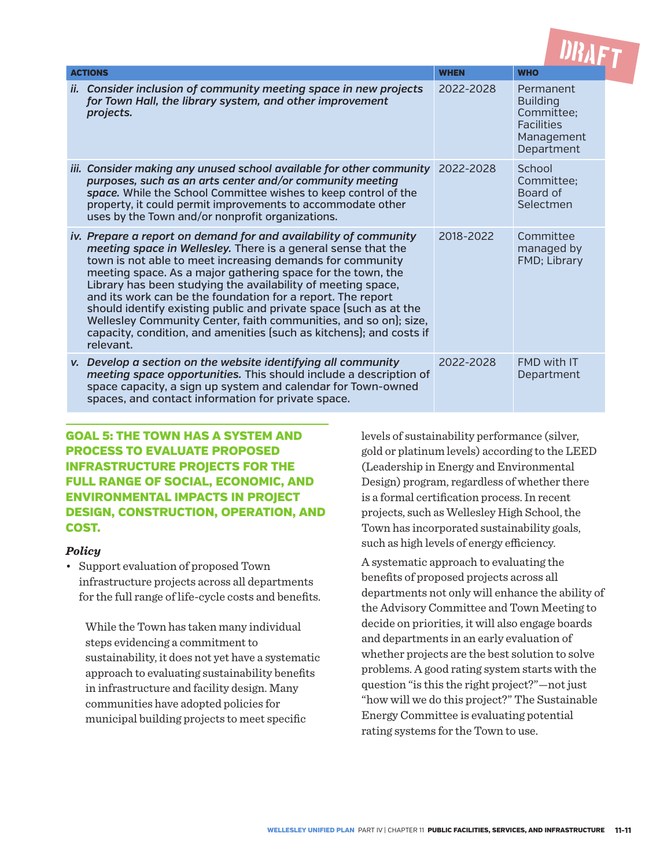| <b>ACTIONS</b>                                                                                                                                                                                                                                                                                                                                                                                                                                                                                                                                                                                                            | <b>WHEN</b> | <b>WHO</b>                                                                                  |
|---------------------------------------------------------------------------------------------------------------------------------------------------------------------------------------------------------------------------------------------------------------------------------------------------------------------------------------------------------------------------------------------------------------------------------------------------------------------------------------------------------------------------------------------------------------------------------------------------------------------------|-------------|---------------------------------------------------------------------------------------------|
| Consider inclusion of community meeting space in new projects<br>ii.<br>for Town Hall, the library system, and other improvement<br>projects.                                                                                                                                                                                                                                                                                                                                                                                                                                                                             | 2022-2028   | Permanent<br><b>Building</b><br>Committee:<br><b>Facilities</b><br>Management<br>Department |
| iii. Consider making any unused school available for other community<br>purposes, such as an arts center and/or community meeting<br>space. While the School Committee wishes to keep control of the<br>property, it could permit improvements to accommodate other<br>uses by the Town and/or nonprofit organizations.                                                                                                                                                                                                                                                                                                   | 2022-2028   | School<br>Committee:<br>Board of<br>Selectmen                                               |
| iv. Prepare a report on demand for and availability of community<br>meeting space in Wellesley. There is a general sense that the<br>town is not able to meet increasing demands for community<br>meeting space. As a major gathering space for the town, the<br>Library has been studying the availability of meeting space,<br>and its work can be the foundation for a report. The report<br>should identify existing public and private space (such as at the<br>Wellesley Community Center, faith communities, and so on); size,<br>capacity, condition, and amenities (such as kitchens); and costs if<br>relevant. | 2018-2022   | Committee<br>managed by<br>FMD; Library                                                     |
| v. Develop a section on the website identifying all community<br>meeting space opportunities. This should include a description of<br>space capacity, a sign up system and calendar for Town-owned<br>spaces, and contact information for private space.                                                                                                                                                                                                                                                                                                                                                                  | 2022-2028   | FMD with IT<br>Department                                                                   |

#### GOAL 5: THE TOWN HAS A SYSTEM AND PROCESS TO EVALUATE PROPOSED INFRASTRUCTURE PROJECTS FOR THE FULL RANGE OF SOCIAL, ECONOMIC, AND ENVIRONMENTAL IMPACTS IN PROJECT DESIGN, CONSTRUCTION, OPERATION, AND COST.

#### *Policy*

• Support evaluation of proposed Town infrastructure projects across all departments for the full range of life-cycle costs and benefits.

While the Town has taken many individual steps evidencing a commitment to sustainability, it does not yet have a systematic approach to evaluating sustainability benefits in infrastructure and facility design. Many communities have adopted policies for municipal building projects to meet specific

levels of sustainability performance (silver, gold or platinum levels) according to the LEED (Leadership in Energy and Environmental Design) program, regardless of whether there is a formal certification process. In recent projects, such as Wellesley High School, the Town has incorporated sustainability goals, such as high levels of energy efficiency.

A systematic approach to evaluating the benefits of proposed projects across all departments not only will enhance the ability of the Advisory Committee and Town Meeting to decide on priorities, it will also engage boards and departments in an early evaluation of whether projects are the best solution to solve problems. A good rating system starts with the question "is this the right project?"—not just "how will we do this project?" The Sustainable Energy Committee is evaluating potential rating systems for the Town to use.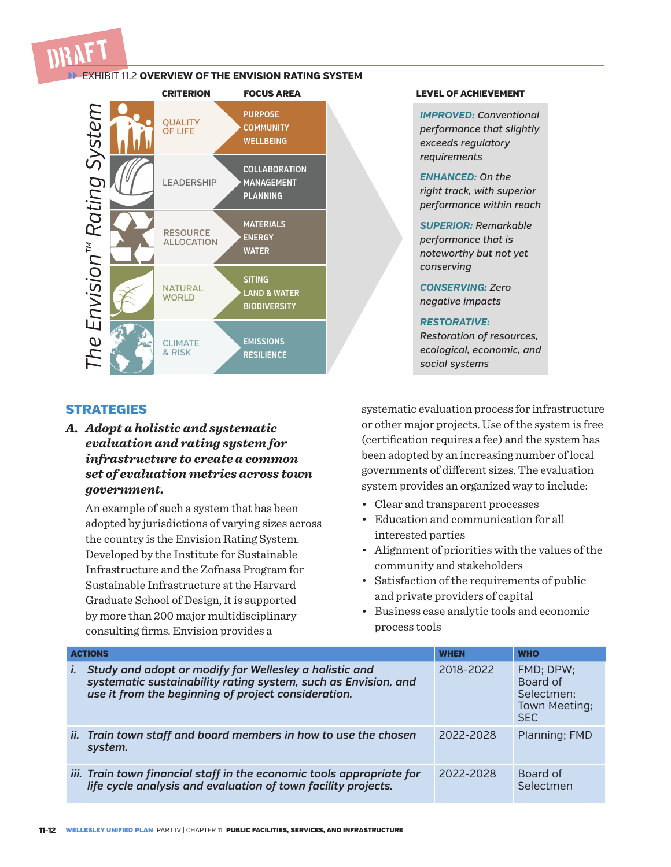

#### EXHIBIT 11.2 **OVERVIEW OF THE ENVISION RATING SYSTEM**



#### **STRATEGIES**

*A. Adopt a holistic and systematic evaluation and rating system for infrastructure to create a common set of evaluation metrics across town government.* 

An example of such a system that has been adopted by jurisdictions of varying sizes across the country is the Envision Rating System. Developed by the Institute for Sustainable Infrastructure and the Zofnass Program for Sustainable Infrastructure at the Harvard Graduate School of Design, it is supported by more than 200 major multidisciplinary consulting firms. Envision provides a

*IMPROVED: Conventional performance that slightly exceeds regulatory requirements*

*ENHANCED: On the right track, with superior performance within reach*

*SUPERIOR: Remarkable performance that is noteworthy but not yet conserving*

*CONSERVING: Zero negative impacts*

#### *RESTORATIVE:*

*Restoration of resources, ecological, economic, and social systems*

systematic evaluation process for infrastructure or other major projects. Use of the system is free (certification requires a fee) and the system has been adopted by an increasing number of local governments of different sizes. The evaluation system provides an organized way to include:

- Clear and transparent processes
- Education and communication for all interested parties
- Alignment of priorities with the values of the community and stakeholders
- Satisfaction of the requirements of public and private providers of capital
- Business case analytic tools and economic process tools

| <b>ACTIONS</b>                                                                                                                                                                  | <b>WHEN</b> | <b>WHO</b>                                                         |
|---------------------------------------------------------------------------------------------------------------------------------------------------------------------------------|-------------|--------------------------------------------------------------------|
| Study and adopt or modify for Wellesley a holistic and<br>systematic sustainability rating system, such as Envision, and<br>use it from the beginning of project consideration. | 2018-2022   | FMD: DPW:<br>Board of<br>Selectmen;<br>Town Meeting;<br><b>SFC</b> |
| ii. Train town staff and board members in how to use the chosen<br>system.                                                                                                      | 2022-2028   | Planning; FMD                                                      |
| iii. Train town financial staff in the economic tools appropriate for<br>life cycle analysis and evaluation of town facility projects.                                          | 2022-2028   | Board of<br>Selectmen                                              |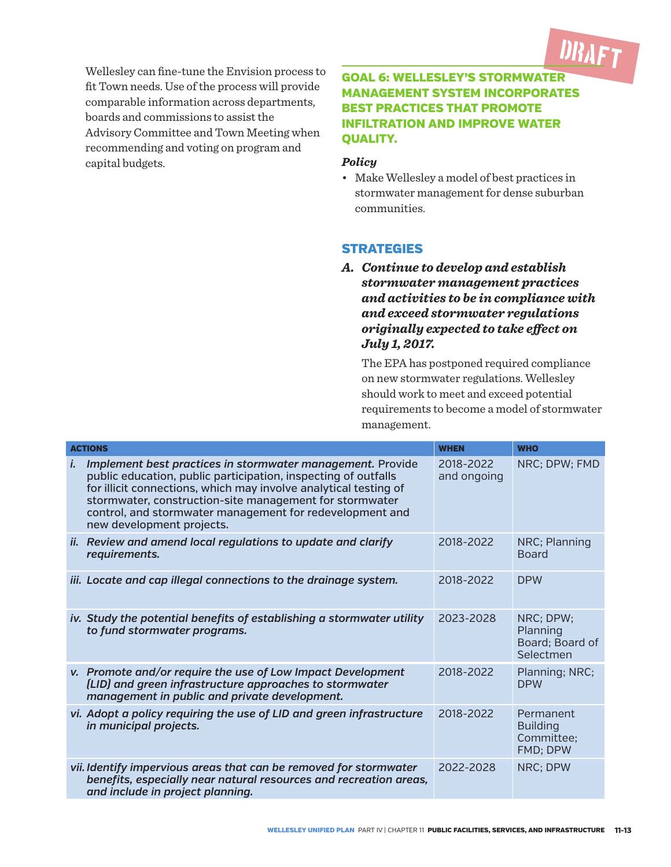

Wellesley can fine-tune the Envision process to fit Town needs. Use of the process will provide comparable information across departments, boards and commissions to assist the Advisory Committee and Town Meeting when recommending and voting on program and capital budgets.

#### GOAL 6: WELLESLEY'S STORMWATER MANAGEMENT SYSTEM INCORPORATES BEST PRACTICES THAT PROMOTE INFILTRATION AND IMPROVE WATER QUALITY.

#### *Policy*

• Make Wellesley a model of best practices in stormwater management for dense suburban communities.

#### **STRATEGIES**

*A. Continue to develop and establish stormwater management practices and activities to be in compliance with and exceed stormwater regulations originally expected to take effect on July 1, 2017.* 

The EPA has postponed required compliance on new stormwater regulations. Wellesley should work to meet and exceed potential requirements to become a model of stormwater management.

|    | <b>ACTIONS</b>                                                                                                                                                                                                                                                                                                                                       | <b>WHEN</b>              | <b>WHO</b>                                             |
|----|------------------------------------------------------------------------------------------------------------------------------------------------------------------------------------------------------------------------------------------------------------------------------------------------------------------------------------------------------|--------------------------|--------------------------------------------------------|
| i. | Implement best practices in stormwater management. Provide<br>public education, public participation, inspecting of outfalls<br>for illicit connections, which may involve analytical testing of<br>stormwater, construction-site management for stormwater<br>control, and stormwater management for redevelopment and<br>new development projects. | 2018-2022<br>and ongoing | NRC; DPW; FMD                                          |
|    | ii. Review and amend local regulations to update and clarify<br>requirements.                                                                                                                                                                                                                                                                        | 2018-2022                | NRC; Planning<br><b>Board</b>                          |
|    | iii. Locate and cap illegal connections to the drainage system.                                                                                                                                                                                                                                                                                      | 2018-2022                | <b>DPW</b>                                             |
|    | iv. Study the potential benefits of establishing a stormwater utility<br>to fund stormwater programs.                                                                                                                                                                                                                                                | 2023-2028                | NRC; DPW;<br>Planning<br>Board; Board of<br>Selectmen  |
|    | v. Promote and/or require the use of Low Impact Development<br>(LID) and green infrastructure approaches to stormwater<br>management in public and private development.                                                                                                                                                                              | 2018-2022                | Planning; NRC;<br><b>DPW</b>                           |
|    | vi. Adopt a policy requiring the use of LID and green infrastructure<br>in municipal projects.                                                                                                                                                                                                                                                       | 2018-2022                | Permanent<br><b>Building</b><br>Committee:<br>FMD; DPW |
|    | vii. Identify impervious areas that can be removed for stormwater<br>benefits, especially near natural resources and recreation areas,<br>and include in project planning.                                                                                                                                                                           | 2022-2028                | NRC; DPW                                               |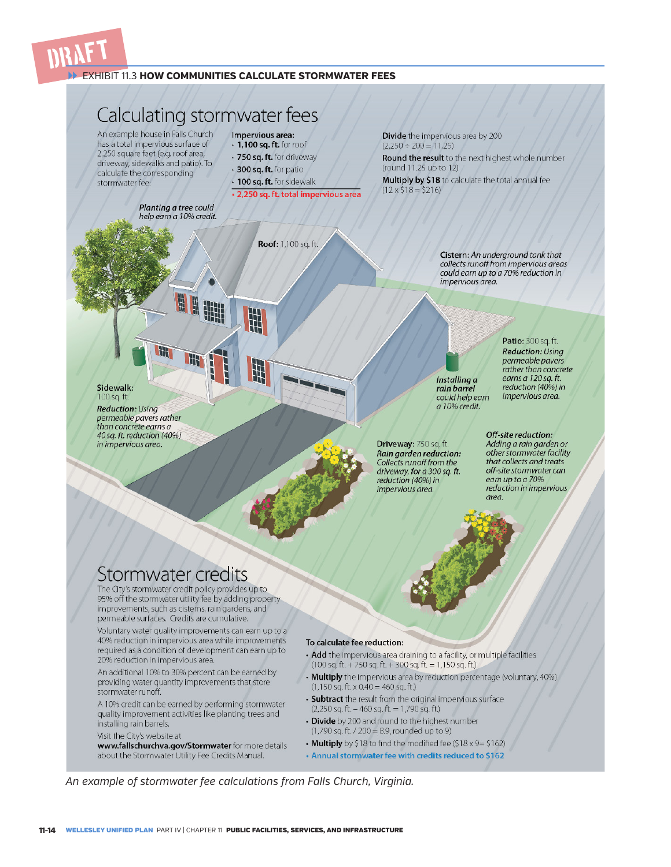

#### EXHIBIT 11.3 **HOW COMMUNITIES CALCULATE STORMWATER FEES**

### Calculating stormwater fees

An example house in Falls Church has a total impervious surface of 2,250 square feet (e.g. roof area, driveway, sidewalks and patio). To calculate the corresponding stormwater fee:

Sidewalk:

**Reduction: Using** permeable pavers rather than concrete earns a 40 sq. ft. reduction (40%)

in impervious area.

100 sq. ft

- Impervious area:
- $\cdot$  1,100 sq. ft. for roof · 750 sq. ft. for driveway
- · 300 sq. ft. for patio
- 
- · 100 sq. ft. for sidewalk
- · 2,250 sq. ft. total impervious area

Divide the impervious area by 200  $(2,250 \div 200 = 11.25)$ 

Round the result to the next highest whole number (round 11.25 up to 12)

Multiply by \$18 to calculate the total annual fee  $(12 \times $18 = $216)$ 

Planting a tree could help earn a 10% credit.

Roof: 1,100 sq. ft.

Cistern: An underground tank that collects runoff from impervious areas could earn up to a 70% reduction in impervious area.

Installing a rain barrel could help earn a 10% credit.

Driveway: 750 sq. ft. Rain garden reduction: Collects runoff from the driveway, for a 300 sq. ft. reduction (40%) in impervious area.

Patio: 300 sq. ft. **Reduction: Using** permeable pavers rather than concrete earns a 120 sq. ft. reduction (40%) in impervious area.

Off-site reduction: Adding a rain garden or other stormwater facility that collects and treats off-site stormwater can earn up to a 70% reduction in impervious area.

#### Stormwater credits

The City's stormwater credit policy provides up to 95% off the stormwater utility fee by adding property improvements, such as cisterns, rain gardens, and permeable surfaces. Credits are cumulative.

Voluntary water quality improvements can earn up to a 40% reduction in impervious area while improvements required as a condition of development can earn up to 20% reduction in impervious area.

An additional 10% to 30% percent can be earned by providing water quantity improvements that store stormwater runoff.

A 10% credit can be earned by performing stormwater quality improvement activities like planting trees and installing rain barrels.

Visit the City's website at

www.fallschurchva.gov/Stormwater for more details about the Stormwater Utility Fee Credits Manual.

#### To calculate fee reduction:

- Add the impervious area draining to a facility, or multiple facilities  $(100 sq. ft. + 750 sq. ft. + 300 sq. ft. = 1,150 sq. ft.)$
- Multiply the impervious area by reduction percentage (voluntary, 40%)  $(1,150 \text{ sq. ft.} \times 0.40 = 460 \text{ sq. ft.})$
- Subtract the result from the original impervious surface  $(2,250 \text{ sq. ft.} - 460 \text{ sq. ft.} = 1,790 \text{ sq. ft.})$
- Divide by 200 and round to the highest number  $(1,790$  sq. ft. / 200 = 8.9, rounded up to 9)
- Multiply by \$18 to find the modified fee (\$18 x 9= \$162)
- . Annual stormwater fee with credits reduced to \$162

*An example of stormwater fee calculations from Falls Church, Virginia.*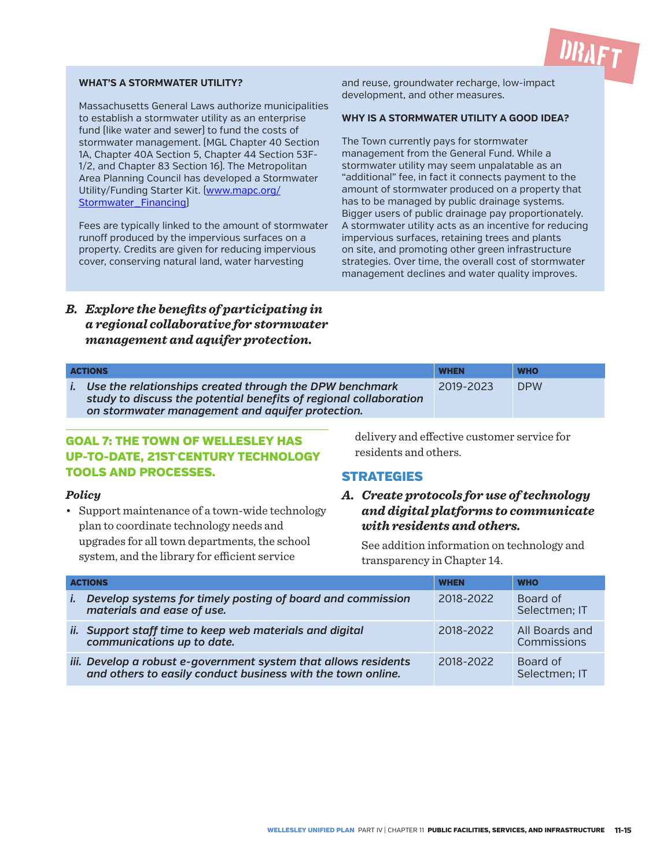#### **WHAT'S A STORMWATER UTILITY?**

Massachusetts General Laws authorize municipalities to establish a stormwater utility as an enterprise fund (like water and sewer) to fund the costs of stormwater management. (MGL Chapter 40 Section 1A, Chapter 40A Section 5, Chapter 44 Section 53F-1/2, and Chapter 83 Section 16). The Metropolitan Area Planning Council has developed a Stormwater Utility/Funding Starter Kit. (www.mapc.org/ Stormwater Financing]

Fees are typically linked to the amount of stormwater runoff produced by the impervious surfaces on a property. Credits are given for reducing impervious cover, conserving natural land, water harvesting

and reuse, groundwater recharge, low-impact development, and other measures.

#### **WHY IS A STORMWATER UTILITY A GOOD IDEA?**

**DRAFT** 

The Town currently pays for stormwater management from the General Fund. While a stormwater utility may seem unpalatable as an "additional" fee, in fact it connects payment to the amount of stormwater produced on a property that has to be managed by public drainage systems. Bigger users of public drainage pay proportionately. A stormwater utility acts as an incentive for reducing impervious surfaces, retaining trees and plants on site, and promoting other green infrastructure strategies. Over time, the overall cost of stormwater management declines and water quality improves.

#### *B. Explore the benefits of participating in a regional collaborative for stormwater management and aquifer protection.*

| <b>ACTIONS</b>                                                                                                                                                                   | <b>WHEN</b> | <b>WHO</b> |
|----------------------------------------------------------------------------------------------------------------------------------------------------------------------------------|-------------|------------|
| Use the relationships created through the DPW benchmark<br>study to discuss the potential benefits of regional collaboration<br>on stormwater management and aquifer protection. | 2019-2023   | <b>DPW</b> |

#### GOAL 7: THE TOWN OF WELLESLEY HAS UP-TO-DATE, 21ST-CENTURY TECHNOLOGY TOOLS AND PROCESSES.

#### *Policy*

• Support maintenance of a town-wide technology plan to coordinate technology needs and upgrades for all town departments, the school system, and the library for efficient service

delivery and effective customer service for residents and others.

#### **STRATEGIES**

#### *A. Create protocols for use of technology and digital platforms to communicate with residents and others.*

See addition information on technology and transparency in Chapter 14.

| <b>ACTIONS</b> |                                                                                                                                | <b>WHEN</b> | <b>WHO</b>                    |
|----------------|--------------------------------------------------------------------------------------------------------------------------------|-------------|-------------------------------|
| İ.             | Develop systems for timely posting of board and commission<br>materials and ease of use.                                       | 2018-2022   | Board of<br>Selectmen; IT     |
|                | ii. Support staff time to keep web materials and digital<br>communications up to date.                                         | 2018-2022   | All Boards and<br>Commissions |
|                | iii. Develop a robust e-government system that allows residents<br>and others to easily conduct business with the town online. | 2018-2022   | Board of<br>Selectmen; IT     |